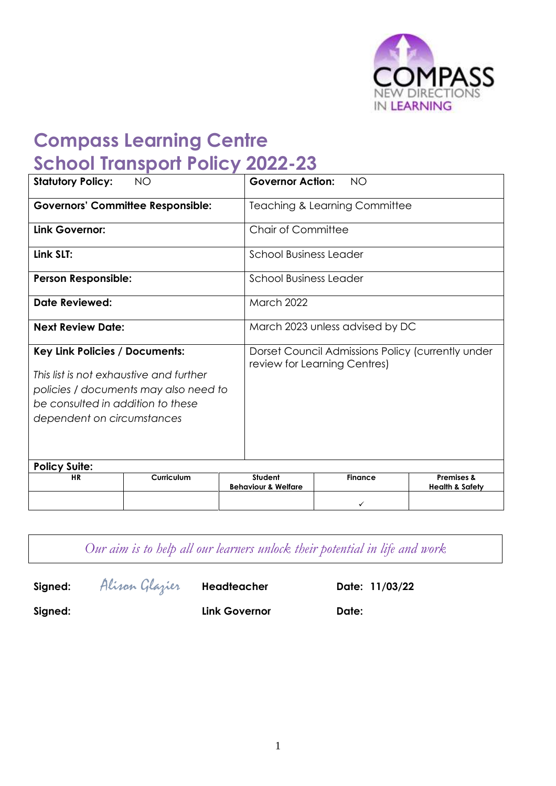

# **Compass Learning Centre School Transport Policy 2022-23**

| <b>Statutory Policy:</b><br><b>NO</b>                                                                                                               |            | <b>Governor Action:</b><br><b>NO</b>     |                                                                                   |                |                                                     |  |
|-----------------------------------------------------------------------------------------------------------------------------------------------------|------------|------------------------------------------|-----------------------------------------------------------------------------------|----------------|-----------------------------------------------------|--|
| <b>Governors' Committee Responsible:</b>                                                                                                            |            | <b>Teaching &amp; Learning Committee</b> |                                                                                   |                |                                                     |  |
| Link Governor:                                                                                                                                      |            |                                          | <b>Chair of Committee</b>                                                         |                |                                                     |  |
| Link SLT:                                                                                                                                           |            | <b>School Business Leader</b>            |                                                                                   |                |                                                     |  |
| <b>Person Responsible:</b>                                                                                                                          |            |                                          | <b>School Business Leader</b>                                                     |                |                                                     |  |
| Date Reviewed:                                                                                                                                      |            |                                          | March 2022                                                                        |                |                                                     |  |
| <b>Next Review Date:</b>                                                                                                                            |            |                                          | March 2023 unless advised by DC                                                   |                |                                                     |  |
| Key Link Policies / Documents:                                                                                                                      |            |                                          | Dorset Council Admissions Policy (currently under<br>review for Learning Centres) |                |                                                     |  |
| This list is not exhaustive and further<br>policies / documents may also need to<br>be consulted in addition to these<br>dependent on circumstances |            |                                          |                                                                                   |                |                                                     |  |
| <b>Policy Suite:</b>                                                                                                                                |            |                                          |                                                                                   |                |                                                     |  |
| <b>HR</b>                                                                                                                                           | Curriculum |                                          | Student<br><b>Behaviour &amp; Welfare</b>                                         | <b>Finance</b> | <b>Premises &amp;</b><br><b>Health &amp; Safety</b> |  |
|                                                                                                                                                     |            |                                          |                                                                                   | ✓              |                                                     |  |

*Our aim is to help all our learners unlock their potential in life and work*

**Signed:** Alison Glazier **Headteacher Date: 11/03/22**

**Signed: Link Governor Date:**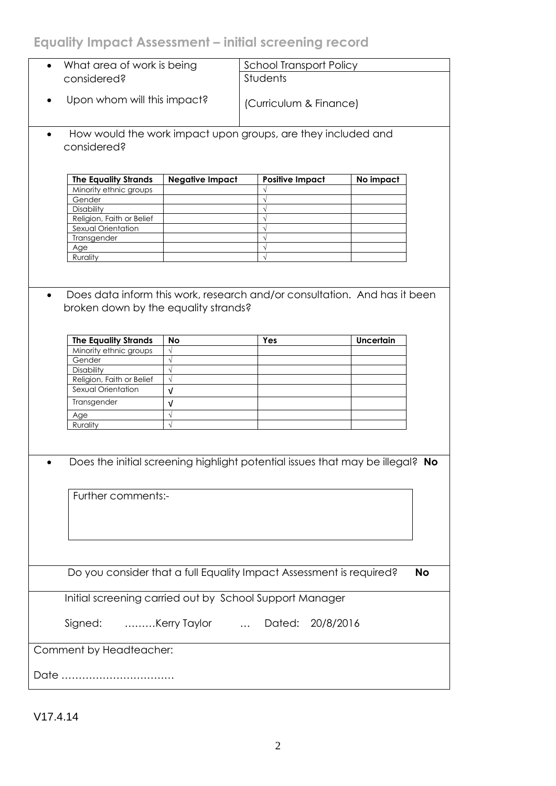# **Equality Impact Assessment – initial screening record**

|           | What area of work is being           |                        | <b>School Transport Policy</b>                                                |                  |           |  |
|-----------|--------------------------------------|------------------------|-------------------------------------------------------------------------------|------------------|-----------|--|
|           | considered?                          |                        | Students                                                                      |                  |           |  |
|           |                                      |                        |                                                                               |                  |           |  |
|           |                                      |                        |                                                                               |                  |           |  |
|           | Upon whom will this impact?          |                        | (Curriculum & Finance)                                                        |                  |           |  |
|           |                                      |                        |                                                                               |                  |           |  |
|           |                                      |                        |                                                                               |                  |           |  |
|           |                                      |                        | How would the work impact upon groups, are they included and                  |                  |           |  |
|           |                                      |                        |                                                                               |                  |           |  |
|           | considered?                          |                        |                                                                               |                  |           |  |
|           |                                      |                        |                                                                               |                  |           |  |
|           |                                      |                        |                                                                               |                  |           |  |
|           | <b>The Equality Strands</b>          | <b>Negative Impact</b> | <b>Positive Impact</b>                                                        |                  |           |  |
|           |                                      |                        |                                                                               | No impact        |           |  |
|           | Minority ethnic groups               |                        |                                                                               |                  |           |  |
|           | Gender                               |                        | $\sqrt{}$                                                                     |                  |           |  |
|           | Disability                           |                        | $\sqrt{ }$                                                                    |                  |           |  |
|           | Religion, Faith or Belief            |                        | $\sqrt{}$                                                                     |                  |           |  |
|           | Sexual Orientation                   |                        | $\sqrt{}$                                                                     |                  |           |  |
|           | Transgender                          |                        | $\sqrt{}$                                                                     |                  |           |  |
|           | Age                                  |                        | $\sqrt{}$                                                                     |                  |           |  |
|           | Rurality                             |                        | $\sqrt{ }$                                                                    |                  |           |  |
|           |                                      |                        |                                                                               |                  |           |  |
|           |                                      |                        |                                                                               |                  |           |  |
|           |                                      |                        |                                                                               |                  |           |  |
| $\bullet$ |                                      |                        | Does data inform this work, research and/or consultation. And has it been     |                  |           |  |
|           |                                      |                        |                                                                               |                  |           |  |
|           | broken down by the equality strands? |                        |                                                                               |                  |           |  |
|           |                                      |                        |                                                                               |                  |           |  |
|           |                                      |                        |                                                                               |                  |           |  |
|           | <b>The Equality Strands</b>          | <b>No</b>              | Yes                                                                           | <b>Uncertain</b> |           |  |
|           | Minority ethnic groups               |                        |                                                                               |                  |           |  |
|           | Gender                               |                        |                                                                               |                  |           |  |
|           | Disability                           |                        |                                                                               |                  |           |  |
|           | Religion, Faith or Belief            | $\sqrt{}$              |                                                                               |                  |           |  |
|           | Sexual Orientation                   |                        |                                                                               |                  |           |  |
|           |                                      | $\sqrt{ }$             |                                                                               |                  |           |  |
|           |                                      |                        |                                                                               |                  |           |  |
|           | Transgender                          | V                      |                                                                               |                  |           |  |
|           |                                      |                        |                                                                               |                  |           |  |
|           | Age                                  | $\sqrt{}$              |                                                                               |                  |           |  |
|           | Rurality                             | $\sqrt{}$              |                                                                               |                  |           |  |
|           |                                      |                        |                                                                               |                  |           |  |
|           |                                      |                        |                                                                               |                  |           |  |
|           |                                      |                        |                                                                               |                  |           |  |
|           |                                      |                        | Does the initial screening highlight potential issues that may be illegal? No |                  |           |  |
|           |                                      |                        |                                                                               |                  |           |  |
|           |                                      |                        |                                                                               |                  |           |  |
|           |                                      |                        |                                                                               |                  |           |  |
|           | Further comments:-                   |                        |                                                                               |                  |           |  |
|           |                                      |                        |                                                                               |                  |           |  |
|           |                                      |                        |                                                                               |                  |           |  |
|           |                                      |                        |                                                                               |                  |           |  |
|           |                                      |                        |                                                                               |                  |           |  |
|           |                                      |                        |                                                                               |                  |           |  |
|           |                                      |                        |                                                                               |                  |           |  |
|           |                                      |                        |                                                                               |                  |           |  |
|           |                                      |                        | Do you consider that a full Equality Impact Assessment is required?           |                  | <b>No</b> |  |
|           |                                      |                        |                                                                               |                  |           |  |
|           |                                      |                        |                                                                               |                  |           |  |
|           |                                      |                        | Initial screening carried out by School Support Manager                       |                  |           |  |
|           |                                      |                        |                                                                               |                  |           |  |
|           |                                      |                        |                                                                               |                  |           |  |
|           | Signed:                              | Kerry Taylor           | Dated:<br>20/8/2016                                                           |                  |           |  |
|           |                                      |                        |                                                                               |                  |           |  |
|           |                                      |                        |                                                                               |                  |           |  |
|           | Comment by Headteacher:              |                        |                                                                               |                  |           |  |
|           |                                      |                        |                                                                               |                  |           |  |
|           | Date                                 |                        |                                                                               |                  |           |  |

V17.4.14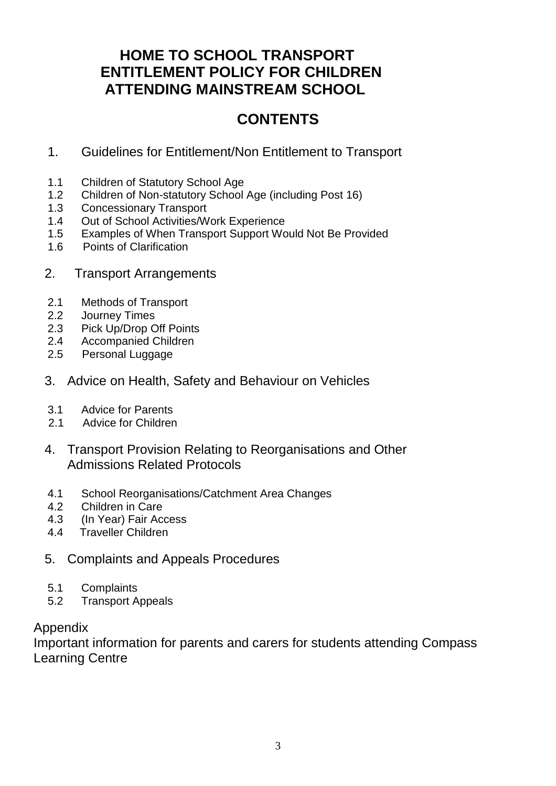# **HOME TO SCHOOL TRANSPORT ENTITLEMENT POLICY FOR CHILDREN ATTENDING MAINSTREAM SCHOOL**

# **CONTENTS**

- 1. Guidelines for Entitlement/Non Entitlement to Transport
- 1.1 Children of Statutory School Age
- 1.2 Children of Non-statutory School Age (including Post 16)
- 1.3 Concessionary Transport
- 1.4 Out of School Activities/Work Experience
- 1.5 Examples of When Transport Support Would Not Be Provided
- 1.6 Points of Clarification
- 2. Transport Arrangements
- 2.1 Methods of Transport
- 2.2 Journey Times
- 2.3 Pick Up/Drop Off Points
- 2.4 Accompanied Children
- 2.5 Personal Luggage
- 3. Advice on Health, Safety and Behaviour on Vehicles
- 3.1 Advice for Parents
- 2.1 Advice for Children
- 4. Transport Provision Relating to Reorganisations and Other Admissions Related Protocols
- 4.1 School Reorganisations/Catchment Area Changes
- 4.2 Children in Care
- 4.3 (In Year) Fair Access
- 4.4 Traveller Children
- 5. Complaints and Appeals Procedures
- 5.1 Complaints
- 5.2 Transport Appeals

# Appendix

Important information for parents and carers for students attending Compass Learning Centre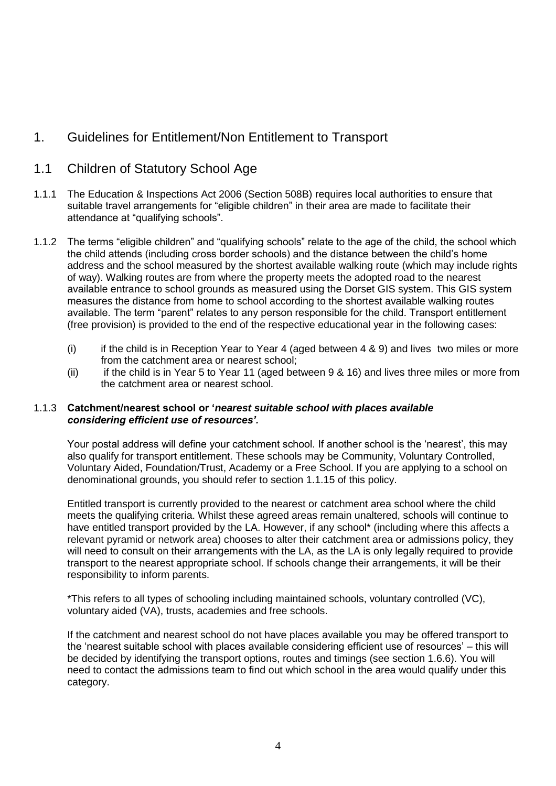# 1. Guidelines for Entitlement/Non Entitlement to Transport

# 1.1 Children of Statutory School Age

- 1.1.1 The Education & Inspections Act 2006 (Section 508B) requires local authorities to ensure that suitable travel arrangements for "eligible children" in their area are made to facilitate their attendance at "qualifying schools".
- 1.1.2 The terms "eligible children" and "qualifying schools" relate to the age of the child, the school which the child attends (including cross border schools) and the distance between the child's home address and the school measured by the shortest available walking route (which may include rights of way). Walking routes are from where the property meets the adopted road to the nearest available entrance to school grounds as measured using the Dorset GIS system. This GIS system measures the distance from home to school according to the shortest available walking routes available. The term "parent" relates to any person responsible for the child. Transport entitlement (free provision) is provided to the end of the respective educational year in the following cases:
	- (i) if the child is in Reception Year to Year 4 (aged between  $4 \& 9$ ) and lives two miles or more from the catchment area or nearest school;
	- (ii) if the child is in Year 5 to Year 11 (aged between 9 & 16) and lives three miles or more from the catchment area or nearest school.

## 1.1.3 **Catchment/nearest school or '***nearest suitable school with places available considering efficient use of resources'.*

Your postal address will define your catchment school. If another school is the 'nearest', this may also qualify for transport entitlement. These schools may be Community, Voluntary Controlled, Voluntary Aided, Foundation/Trust, Academy or a Free School. If you are applying to a school on denominational grounds, you should refer to section 1.1.15 of this policy.

Entitled transport is currently provided to the nearest or catchment area school where the child meets the qualifying criteria. Whilst these agreed areas remain unaltered, schools will continue to have entitled transport provided by the LA. However, if any school\* (including where this affects a relevant pyramid or network area) chooses to alter their catchment area or admissions policy, they will need to consult on their arrangements with the LA, as the LA is only legally required to provide transport to the nearest appropriate school. If schools change their arrangements, it will be their responsibility to inform parents.

\*This refers to all types of schooling including maintained schools, voluntary controlled (VC), voluntary aided (VA), trusts, academies and free schools.

If the catchment and nearest school do not have places available you may be offered transport to the 'nearest suitable school with places available considering efficient use of resources' – this will be decided by identifying the transport options, routes and timings (see section 1.6.6). You will need to contact the admissions team to find out which school in the area would qualify under this category.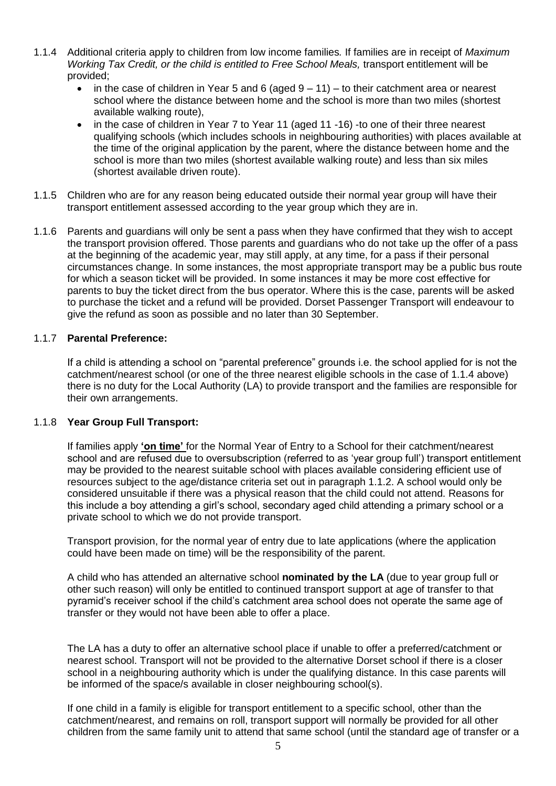- 1.1.4 Additional criteria apply to children from low income families*.* If families are in receipt of *Maximum Working Tax Credit, or the child is entitled to Free School Meals, transport entitlement will be* provided;
	- $\bullet$  in the case of children in Year 5 and 6 (aged  $9 11$ ) to their catchment area or nearest school where the distance between home and the school is more than two miles (shortest available walking route),
	- in the case of children in Year 7 to Year 11 (aged 11 -16) -to one of their three nearest qualifying schools (which includes schools in neighbouring authorities) with places available at the time of the original application by the parent, where the distance between home and the school is more than two miles (shortest available walking route) and less than six miles (shortest available driven route).
- 1.1.5 Children who are for any reason being educated outside their normal year group will have their transport entitlement assessed according to the year group which they are in.
- 1.1.6 Parents and guardians will only be sent a pass when they have confirmed that they wish to accept the transport provision offered. Those parents and guardians who do not take up the offer of a pass at the beginning of the academic year, may still apply, at any time, for a pass if their personal circumstances change. In some instances, the most appropriate transport may be a public bus route for which a season ticket will be provided. In some instances it may be more cost effective for parents to buy the ticket direct from the bus operator. Where this is the case, parents will be asked to purchase the ticket and a refund will be provided. Dorset Passenger Transport will endeavour to give the refund as soon as possible and no later than 30 September.

## 1.1.7 **Parental Preference:**

If a child is attending a school on "parental preference" grounds i.e. the school applied for is not the catchment/nearest school (or one of the three nearest eligible schools in the case of 1.1.4 above) there is no duty for the Local Authority (LA) to provide transport and the families are responsible for their own arrangements.

#### 1.1.8 **Year Group Full Transport:**

If families apply **'on time'** for the Normal Year of Entry to a School for their catchment/nearest school and are refused due to oversubscription (referred to as 'year group full') transport entitlement may be provided to the nearest suitable school with places available considering efficient use of resources subject to the age/distance criteria set out in paragraph 1.1.2. A school would only be considered unsuitable if there was a physical reason that the child could not attend. Reasons for this include a boy attending a girl's school, secondary aged child attending a primary school or a private school to which we do not provide transport.

Transport provision, for the normal year of entry due to late applications (where the application could have been made on time) will be the responsibility of the parent.

A child who has attended an alternative school **nominated by the LA** (due to year group full or other such reason) will only be entitled to continued transport support at age of transfer to that pyramid's receiver school if the child's catchment area school does not operate the same age of transfer or they would not have been able to offer a place.

The LA has a duty to offer an alternative school place if unable to offer a preferred/catchment or nearest school. Transport will not be provided to the alternative Dorset school if there is a closer school in a neighbouring authority which is under the qualifying distance. In this case parents will be informed of the space/s available in closer neighbouring school(s).

If one child in a family is eligible for transport entitlement to a specific school, other than the catchment/nearest, and remains on roll, transport support will normally be provided for all other children from the same family unit to attend that same school (until the standard age of transfer or a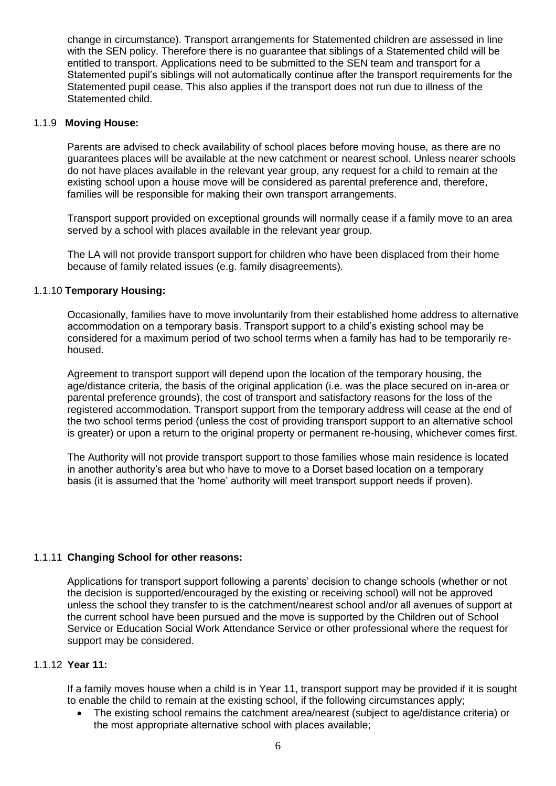change in circumstance). Transport arrangements for Statemented children are assessed in line with the SEN policy. Therefore there is no guarantee that siblings of a Statemented child will be entitled to transport. Applications need to be submitted to the SEN team and transport for a Statemented pupil's siblings will not automatically continue after the transport requirements for the Statemented pupil cease. This also applies if the transport does not run due to illness of the Statemented child.

#### 1.1.9 **Moving House:**

Parents are advised to check availability of school places before moving house, as there are no guarantees places will be available at the new catchment or nearest school. Unless nearer schools do not have places available in the relevant year group, any request for a child to remain at the existing school upon a house move will be considered as parental preference and, therefore, families will be responsible for making their own transport arrangements.

Transport support provided on exceptional grounds will normally cease if a family move to an area served by a school with places available in the relevant year group.

The LA will not provide transport support for children who have been displaced from their home because of family related issues (e.g. family disagreements).

#### 1.1.10 **Temporary Housing:**

Occasionally, families have to move involuntarily from their established home address to alternative accommodation on a temporary basis. Transport support to a child's existing school may be considered for a maximum period of two school terms when a family has had to be temporarily rehoused.

Agreement to transport support will depend upon the location of the temporary housing, the age/distance criteria, the basis of the original application (i.e. was the place secured on in-area or parental preference grounds), the cost of transport and satisfactory reasons for the loss of the registered accommodation. Transport support from the temporary address will cease at the end of the two school terms period (unless the cost of providing transport support to an alternative school is greater) or upon a return to the original property or permanent re-housing, whichever comes first.

The Authority will not provide transport support to those families whose main residence is located in another authority's area but who have to move to a Dorset based location on a temporary basis (it is assumed that the 'home' authority will meet transport support needs if proven).

## 1.1.11 **Changing School for other reasons:**

Applications for transport support following a parents' decision to change schools (whether or not the decision is supported/encouraged by the existing or receiving school) will not be approved unless the school they transfer to is the catchment/nearest school and/or all avenues of support at the current school have been pursued and the move is supported by the Children out of School Service or Education Social Work Attendance Service or other professional where the request for support may be considered.

#### 1.1.12 **Year 11:**

If a family moves house when a child is in Year 11, transport support may be provided if it is sought to enable the child to remain at the existing school, if the following circumstances apply;

 The existing school remains the catchment area/nearest (subject to age/distance criteria) or the most appropriate alternative school with places available;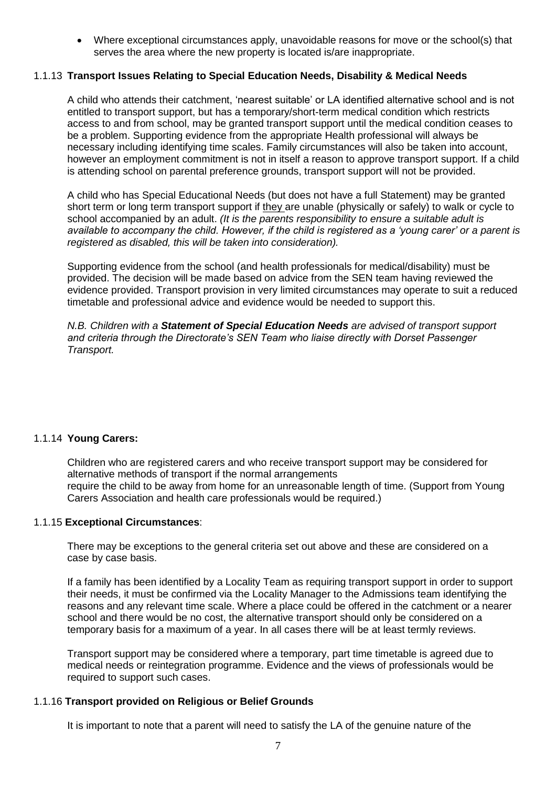Where exceptional circumstances apply, unavoidable reasons for move or the school(s) that serves the area where the new property is located is/are inappropriate.

## 1.1.13 **Transport Issues Relating to Special Education Needs, Disability & Medical Needs**

A child who attends their catchment, 'nearest suitable' or LA identified alternative school and is not entitled to transport support, but has a temporary/short-term medical condition which restricts access to and from school, may be granted transport support until the medical condition ceases to be a problem. Supporting evidence from the appropriate Health professional will always be necessary including identifying time scales. Family circumstances will also be taken into account, however an employment commitment is not in itself a reason to approve transport support. If a child is attending school on parental preference grounds, transport support will not be provided.

A child who has Special Educational Needs (but does not have a full Statement) may be granted short term or long term transport support if they are unable (physically or safely) to walk or cycle to school accompanied by an adult. *(It is the parents responsibility to ensure a suitable adult is available to accompany the child. However, if the child is registered as a 'young carer' or a parent is registered as disabled, this will be taken into consideration).* 

Supporting evidence from the school (and health professionals for medical/disability) must be provided. The decision will be made based on advice from the SEN team having reviewed the evidence provided. Transport provision in very limited circumstances may operate to suit a reduced timetable and professional advice and evidence would be needed to support this.

*N.B. Children with a Statement of Special Education Needs are advised of transport support and criteria through the Directorate's SEN Team who liaise directly with Dorset Passenger Transport.* 

#### 1.1.14 **Young Carers:**

Children who are registered carers and who receive transport support may be considered for alternative methods of transport if the normal arrangements require the child to be away from home for an unreasonable length of time. (Support from Young Carers Association and health care professionals would be required.)

#### 1.1.15 **Exceptional Circumstances**:

There may be exceptions to the general criteria set out above and these are considered on a case by case basis.

If a family has been identified by a Locality Team as requiring transport support in order to support their needs, it must be confirmed via the Locality Manager to the Admissions team identifying the reasons and any relevant time scale. Where a place could be offered in the catchment or a nearer school and there would be no cost, the alternative transport should only be considered on a temporary basis for a maximum of a year. In all cases there will be at least termly reviews.

Transport support may be considered where a temporary, part time timetable is agreed due to medical needs or reintegration programme. Evidence and the views of professionals would be required to support such cases.

## 1.1.16 **Transport provided on Religious or Belief Grounds**

It is important to note that a parent will need to satisfy the LA of the genuine nature of the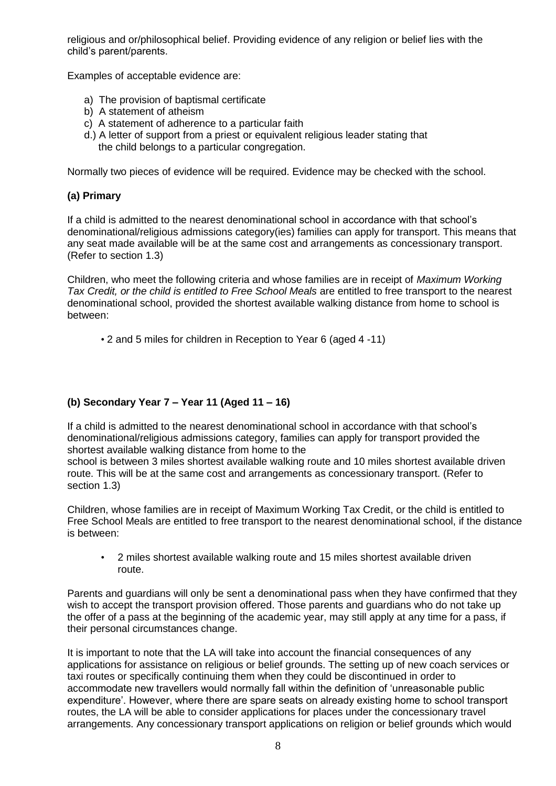religious and or/philosophical belief. Providing evidence of any religion or belief lies with the child's parent/parents.

Examples of acceptable evidence are:

- a) The provision of baptismal certificate
- b) A statement of atheism
- c) A statement of adherence to a particular faith
- d.) A letter of support from a priest or equivalent religious leader stating that the child belongs to a particular congregation.

Normally two pieces of evidence will be required. Evidence may be checked with the school.

## **(a) Primary**

If a child is admitted to the nearest denominational school in accordance with that school's denominational/religious admissions category(ies) families can apply for transport. This means that any seat made available will be at the same cost and arrangements as concessionary transport. (Refer to section 1.3)

Children, who meet the following criteria and whose families are in receipt of *Maximum Working Tax Credit, or the child is entitled to Free School Meals* are entitled to free transport to the nearest denominational school, provided the shortest available walking distance from home to school is between:

• 2 and 5 miles for children in Reception to Year 6 (aged 4 -11)

## **(b) Secondary Year 7 – Year 11 (Aged 11 – 16)**

If a child is admitted to the nearest denominational school in accordance with that school's denominational/religious admissions category, families can apply for transport provided the shortest available walking distance from home to the

school is between 3 miles shortest available walking route and 10 miles shortest available driven route. This will be at the same cost and arrangements as concessionary transport. (Refer to section 1.3)

Children, whose families are in receipt of Maximum Working Tax Credit, or the child is entitled to Free School Meals are entitled to free transport to the nearest denominational school, if the distance is between:

• 2 miles shortest available walking route and 15 miles shortest available driven route.

Parents and guardians will only be sent a denominational pass when they have confirmed that they wish to accept the transport provision offered. Those parents and guardians who do not take up the offer of a pass at the beginning of the academic year, may still apply at any time for a pass, if their personal circumstances change.

It is important to note that the LA will take into account the financial consequences of any applications for assistance on religious or belief grounds. The setting up of new coach services or taxi routes or specifically continuing them when they could be discontinued in order to accommodate new travellers would normally fall within the definition of 'unreasonable public expenditure'. However, where there are spare seats on already existing home to school transport routes, the LA will be able to consider applications for places under the concessionary travel arrangements. Any concessionary transport applications on religion or belief grounds which would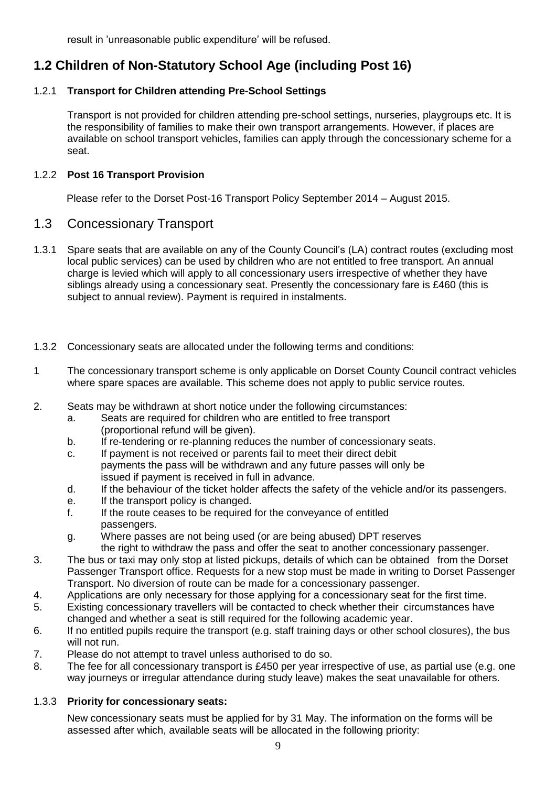result in 'unreasonable public expenditure' will be refused.

# **1.2 Children of Non-Statutory School Age (including Post 16)**

## 1.2.1 **Transport for Children attending Pre-School Settings**

Transport is not provided for children attending pre-school settings, nurseries, playgroups etc. It is the responsibility of families to make their own transport arrangements. However, if places are available on school transport vehicles, families can apply through the concessionary scheme for a seat.

## 1.2.2 **Post 16 Transport Provision**

Please refer to the Dorset Post-16 Transport Policy September 2014 – August 2015.

## 1.3 Concessionary Transport

- 1.3.1 Spare seats that are available on any of the County Council's (LA) contract routes (excluding most local public services) can be used by children who are not entitled to free transport. An annual charge is levied which will apply to all concessionary users irrespective of whether they have siblings already using a concessionary seat. Presently the concessionary fare is £460 (this is subject to annual review). Payment is required in instalments.
- 1.3.2 Concessionary seats are allocated under the following terms and conditions:
- 1 The concessionary transport scheme is only applicable on Dorset County Council contract vehicles where spare spaces are available. This scheme does not apply to public service routes.
- 2. Seats may be withdrawn at short notice under the following circumstances:
	- a. Seats are required for children who are entitled to free transport (proportional refund will be given).
	- b. If re-tendering or re-planning reduces the number of concessionary seats.
	- c. If payment is not received or parents fail to meet their direct debit payments the pass will be withdrawn and any future passes will only be issued if payment is received in full in advance.
	- d. If the behaviour of the ticket holder affects the safety of the vehicle and/or its passengers.
	- e. If the transport policy is changed.
	- f. If the route ceases to be required for the conveyance of entitled passengers.
	- g. Where passes are not being used (or are being abused) DPT reserves the right to withdraw the pass and offer the seat to another concessionary passenger.
- 3. The bus or taxi may only stop at listed pickups, details of which can be obtained from the Dorset Passenger Transport office. Requests for a new stop must be made in writing to Dorset Passenger Transport. No diversion of route can be made for a concessionary passenger.
- 4. Applications are only necessary for those applying for a concessionary seat for the first time.
- 5. Existing concessionary travellers will be contacted to check whether their circumstances have changed and whether a seat is still required for the following academic year.
- 6. If no entitled pupils require the transport (e.g. staff training days or other school closures), the bus will not run.
- 7. Please do not attempt to travel unless authorised to do so.
- 8. The fee for all concessionary transport is £450 per year irrespective of use, as partial use (e.g. one way journeys or irregular attendance during study leave) makes the seat unavailable for others.

## 1.3.3 **Priority for concessionary seats:**

New concessionary seats must be applied for by 31 May. The information on the forms will be assessed after which, available seats will be allocated in the following priority: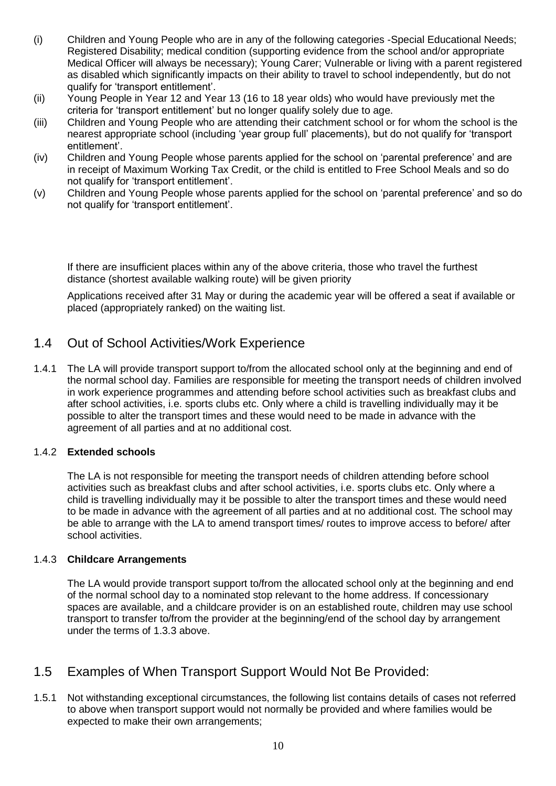- (i) Children and Young People who are in any of the following categories -Special Educational Needs; Registered Disability; medical condition (supporting evidence from the school and/or appropriate Medical Officer will always be necessary); Young Carer; Vulnerable or living with a parent registered as disabled which significantly impacts on their ability to travel to school independently, but do not qualify for 'transport entitlement'.
- (ii) Young People in Year 12 and Year 13 (16 to 18 year olds) who would have previously met the criteria for 'transport entitlement' but no longer qualify solely due to age.
- (iii) Children and Young People who are attending their catchment school or for whom the school is the nearest appropriate school (including 'year group full' placements), but do not qualify for 'transport entitlement'.
- (iv) Children and Young People whose parents applied for the school on 'parental preference' and are in receipt of Maximum Working Tax Credit, or the child is entitled to Free School Meals and so do not qualify for 'transport entitlement'.
- (v) Children and Young People whose parents applied for the school on 'parental preference' and so do not qualify for 'transport entitlement'.

If there are insufficient places within any of the above criteria, those who travel the furthest distance (shortest available walking route) will be given priority

Applications received after 31 May or during the academic year will be offered a seat if available or placed (appropriately ranked) on the waiting list.

# 1.4 Out of School Activities/Work Experience

1.4.1 The LA will provide transport support to/from the allocated school only at the beginning and end of the normal school day. Families are responsible for meeting the transport needs of children involved in work experience programmes and attending before school activities such as breakfast clubs and after school activities, i.e. sports clubs etc. Only where a child is travelling individually may it be possible to alter the transport times and these would need to be made in advance with the agreement of all parties and at no additional cost.

## 1.4.2 **Extended schools**

The LA is not responsible for meeting the transport needs of children attending before school activities such as breakfast clubs and after school activities, i.e. sports clubs etc. Only where a child is travelling individually may it be possible to alter the transport times and these would need to be made in advance with the agreement of all parties and at no additional cost. The school may be able to arrange with the LA to amend transport times/ routes to improve access to before/ after school activities.

## 1.4.3 **Childcare Arrangements**

The LA would provide transport support to/from the allocated school only at the beginning and end of the normal school day to a nominated stop relevant to the home address. If concessionary spaces are available, and a childcare provider is on an established route, children may use school transport to transfer to/from the provider at the beginning/end of the school day by arrangement under the terms of 1.3.3 above.

# 1.5 Examples of When Transport Support Would Not Be Provided:

1.5.1 Not withstanding exceptional circumstances, the following list contains details of cases not referred to above when transport support would not normally be provided and where families would be expected to make their own arrangements;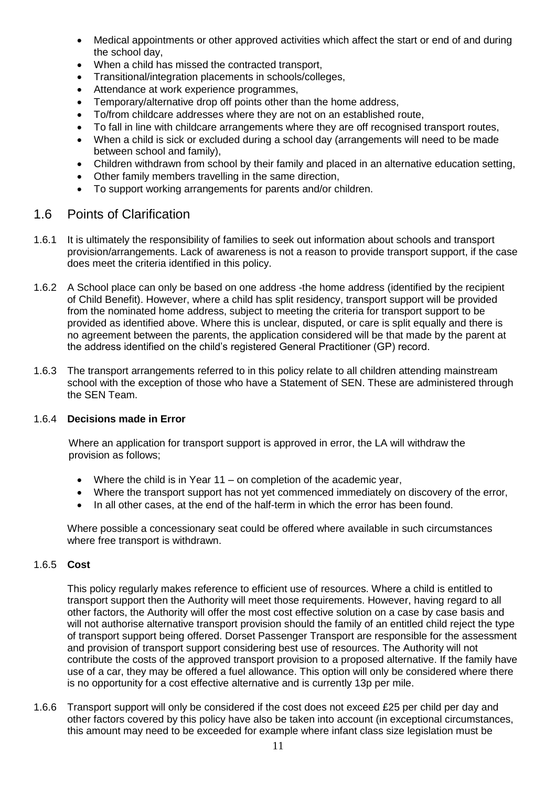- Medical appointments or other approved activities which affect the start or end of and during the school day,
- When a child has missed the contracted transport,
- Transitional/integration placements in schools/colleges,
- Attendance at work experience programmes,
- Temporary/alternative drop off points other than the home address,
- To/from childcare addresses where they are not on an established route,
- To fall in line with childcare arrangements where they are off recognised transport routes,
- When a child is sick or excluded during a school day (arrangements will need to be made between school and family),
- Children withdrawn from school by their family and placed in an alternative education setting,
- Other family members travelling in the same direction,
- To support working arrangements for parents and/or children.

## 1.6 Points of Clarification

- 1.6.1 It is ultimately the responsibility of families to seek out information about schools and transport provision/arrangements. Lack of awareness is not a reason to provide transport support, if the case does meet the criteria identified in this policy.
- 1.6.2 A School place can only be based on one address -the home address (identified by the recipient of Child Benefit). However, where a child has split residency, transport support will be provided from the nominated home address, subject to meeting the criteria for transport support to be provided as identified above. Where this is unclear, disputed, or care is split equally and there is no agreement between the parents, the application considered will be that made by the parent at the address identified on the child's registered General Practitioner (GP) record.
- 1.6.3 The transport arrangements referred to in this policy relate to all children attending mainstream school with the exception of those who have a Statement of SEN. These are administered through the SEN Team.

## 1.6.4 **Decisions made in Error**

Where an application for transport support is approved in error, the LA will withdraw the provision as follows;

- Where the child is in Year  $11 -$  on completion of the academic year,
- Where the transport support has not yet commenced immediately on discovery of the error,
- In all other cases, at the end of the half-term in which the error has been found.

Where possible a concessionary seat could be offered where available in such circumstances where free transport is withdrawn.

## 1.6.5 **Cost**

This policy regularly makes reference to efficient use of resources. Where a child is entitled to transport support then the Authority will meet those requirements. However, having regard to all other factors, the Authority will offer the most cost effective solution on a case by case basis and will not authorise alternative transport provision should the family of an entitled child reject the type of transport support being offered. Dorset Passenger Transport are responsible for the assessment and provision of transport support considering best use of resources. The Authority will not contribute the costs of the approved transport provision to a proposed alternative. If the family have use of a car, they may be offered a fuel allowance. This option will only be considered where there is no opportunity for a cost effective alternative and is currently 13p per mile.

1.6.6 Transport support will only be considered if the cost does not exceed £25 per child per day and other factors covered by this policy have also be taken into account (in exceptional circumstances, this amount may need to be exceeded for example where infant class size legislation must be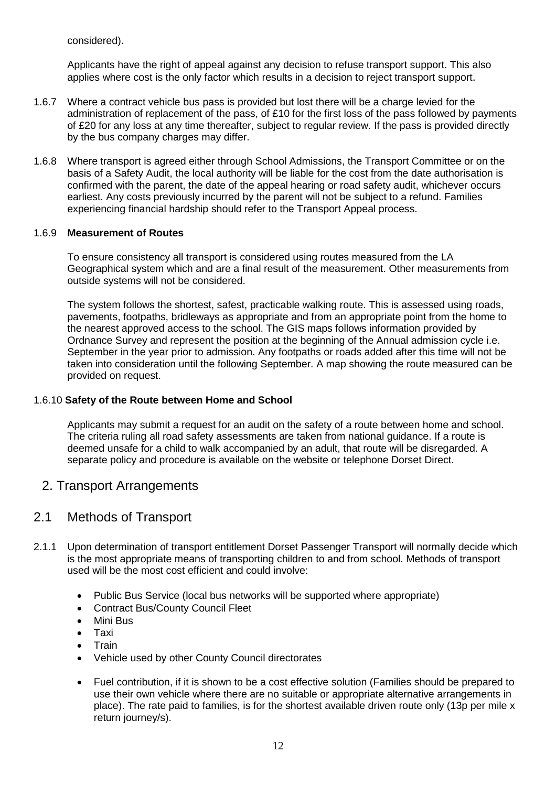considered).

Applicants have the right of appeal against any decision to refuse transport support. This also applies where cost is the only factor which results in a decision to reject transport support.

- 1.6.7 Where a contract vehicle bus pass is provided but lost there will be a charge levied for the administration of replacement of the pass, of £10 for the first loss of the pass followed by payments of £20 for any loss at any time thereafter, subject to regular review. If the pass is provided directly by the bus company charges may differ.
- 1.6.8 Where transport is agreed either through School Admissions, the Transport Committee or on the basis of a Safety Audit, the local authority will be liable for the cost from the date authorisation is confirmed with the parent, the date of the appeal hearing or road safety audit, whichever occurs earliest. Any costs previously incurred by the parent will not be subject to a refund. Families experiencing financial hardship should refer to the Transport Appeal process.

## 1.6.9 **Measurement of Routes**

To ensure consistency all transport is considered using routes measured from the LA Geographical system which and are a final result of the measurement. Other measurements from outside systems will not be considered.

The system follows the shortest, safest, practicable walking route. This is assessed using roads, pavements, footpaths, bridleways as appropriate and from an appropriate point from the home to the nearest approved access to the school. The GIS maps follows information provided by Ordnance Survey and represent the position at the beginning of the Annual admission cycle i.e. September in the year prior to admission. Any footpaths or roads added after this time will not be taken into consideration until the following September. A map showing the route measured can be provided on request.

## 1.6.10 **Safety of the Route between Home and School**

Applicants may submit a request for an audit on the safety of a route between home and school. The criteria ruling all road safety assessments are taken from national guidance. If a route is deemed unsafe for a child to walk accompanied by an adult, that route will be disregarded. A separate policy and procedure is available on the website or telephone Dorset Direct.

## 2. Transport Arrangements

## 2.1 Methods of Transport

- 2.1.1 Upon determination of transport entitlement Dorset Passenger Transport will normally decide which is the most appropriate means of transporting children to and from school. Methods of transport used will be the most cost efficient and could involve:
	- Public Bus Service (local bus networks will be supported where appropriate)
	- Contract Bus/County Council Fleet
	- Mini Bus
	- Taxi
	- **Train**
	- Vehicle used by other County Council directorates
	- Fuel contribution, if it is shown to be a cost effective solution (Families should be prepared to use their own vehicle where there are no suitable or appropriate alternative arrangements in place). The rate paid to families, is for the shortest available driven route only (13p per mile x return journey/s).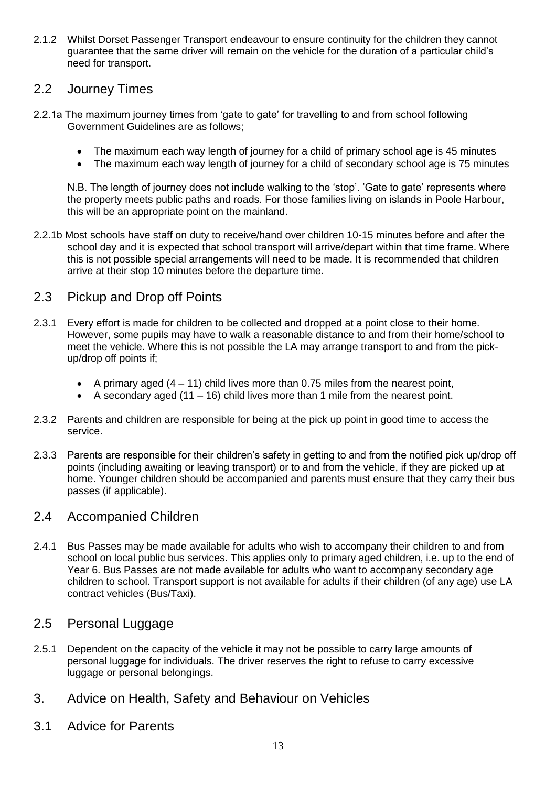2.1.2 Whilst Dorset Passenger Transport endeavour to ensure continuity for the children they cannot guarantee that the same driver will remain on the vehicle for the duration of a particular child's need for transport.

# 2.2 Journey Times

- 2.2.1a The maximum journey times from 'gate to gate' for travelling to and from school following Government Guidelines are as follows;
	- The maximum each way length of journey for a child of primary school age is 45 minutes
	- The maximum each way length of journey for a child of secondary school age is 75 minutes

N.B. The length of journey does not include walking to the 'stop'. 'Gate to gate' represents where the property meets public paths and roads. For those families living on islands in Poole Harbour, this will be an appropriate point on the mainland.

2.2.1b Most schools have staff on duty to receive/hand over children 10-15 minutes before and after the school day and it is expected that school transport will arrive/depart within that time frame. Where this is not possible special arrangements will need to be made. It is recommended that children arrive at their stop 10 minutes before the departure time.

# 2.3 Pickup and Drop off Points

- 2.3.1 Every effort is made for children to be collected and dropped at a point close to their home. However, some pupils may have to walk a reasonable distance to and from their home/school to meet the vehicle. Where this is not possible the LA may arrange transport to and from the pickup/drop off points if;
	- A primary aged  $(4 11)$  child lives more than 0.75 miles from the nearest point,
	- A secondary aged  $(11 16)$  child lives more than 1 mile from the nearest point.
- 2.3.2 Parents and children are responsible for being at the pick up point in good time to access the service.
- 2.3.3 Parents are responsible for their children's safety in getting to and from the notified pick up/drop off points (including awaiting or leaving transport) or to and from the vehicle, if they are picked up at home. Younger children should be accompanied and parents must ensure that they carry their bus passes (if applicable).

# 2.4 Accompanied Children

2.4.1 Bus Passes may be made available for adults who wish to accompany their children to and from school on local public bus services. This applies only to primary aged children, i.e. up to the end of Year 6. Bus Passes are not made available for adults who want to accompany secondary age children to school. Transport support is not available for adults if their children (of any age) use LA contract vehicles (Bus/Taxi).

# 2.5 Personal Luggage

- 2.5.1 Dependent on the capacity of the vehicle it may not be possible to carry large amounts of personal luggage for individuals. The driver reserves the right to refuse to carry excessive luggage or personal belongings.
- 3. Advice on Health, Safety and Behaviour on Vehicles
- 3.1 Advice for Parents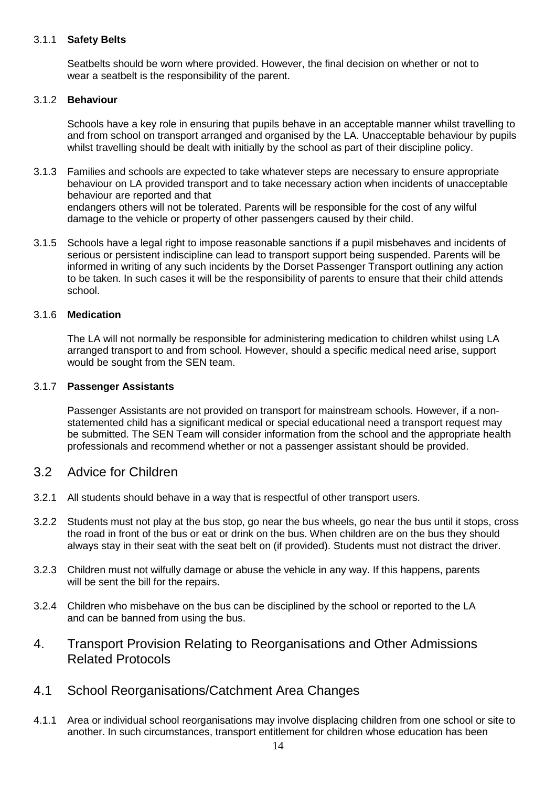## 3.1.1 **Safety Belts**

Seatbelts should be worn where provided. However, the final decision on whether or not to wear a seatbelt is the responsibility of the parent.

#### 3.1.2 **Behaviour**

Schools have a key role in ensuring that pupils behave in an acceptable manner whilst travelling to and from school on transport arranged and organised by the LA. Unacceptable behaviour by pupils whilst travelling should be dealt with initially by the school as part of their discipline policy.

- 3.1.3 Families and schools are expected to take whatever steps are necessary to ensure appropriate behaviour on LA provided transport and to take necessary action when incidents of unacceptable behaviour are reported and that endangers others will not be tolerated. Parents will be responsible for the cost of any wilful damage to the vehicle or property of other passengers caused by their child.
- 3.1.5 Schools have a legal right to impose reasonable sanctions if a pupil misbehaves and incidents of serious or persistent indiscipline can lead to transport support being suspended. Parents will be informed in writing of any such incidents by the Dorset Passenger Transport outlining any action to be taken. In such cases it will be the responsibility of parents to ensure that their child attends school.

## 3.1.6 **Medication**

The LA will not normally be responsible for administering medication to children whilst using LA arranged transport to and from school. However, should a specific medical need arise, support would be sought from the SEN team.

#### 3.1.7 **Passenger Assistants**

Passenger Assistants are not provided on transport for mainstream schools. However, if a nonstatemented child has a significant medical or special educational need a transport request may be submitted. The SEN Team will consider information from the school and the appropriate health professionals and recommend whether or not a passenger assistant should be provided.

## 3.2 Advice for Children

- 3.2.1 All students should behave in a way that is respectful of other transport users.
- 3.2.2 Students must not play at the bus stop, go near the bus wheels, go near the bus until it stops, cross the road in front of the bus or eat or drink on the bus. When children are on the bus they should always stay in their seat with the seat belt on (if provided). Students must not distract the driver.
- 3.2.3 Children must not wilfully damage or abuse the vehicle in any way. If this happens, parents will be sent the bill for the repairs.
- 3.2.4 Children who misbehave on the bus can be disciplined by the school or reported to the LA and can be banned from using the bus.
- 4. Transport Provision Relating to Reorganisations and Other Admissions Related Protocols
- 4.1 School Reorganisations/Catchment Area Changes
- 4.1.1 Area or individual school reorganisations may involve displacing children from one school or site to another. In such circumstances, transport entitlement for children whose education has been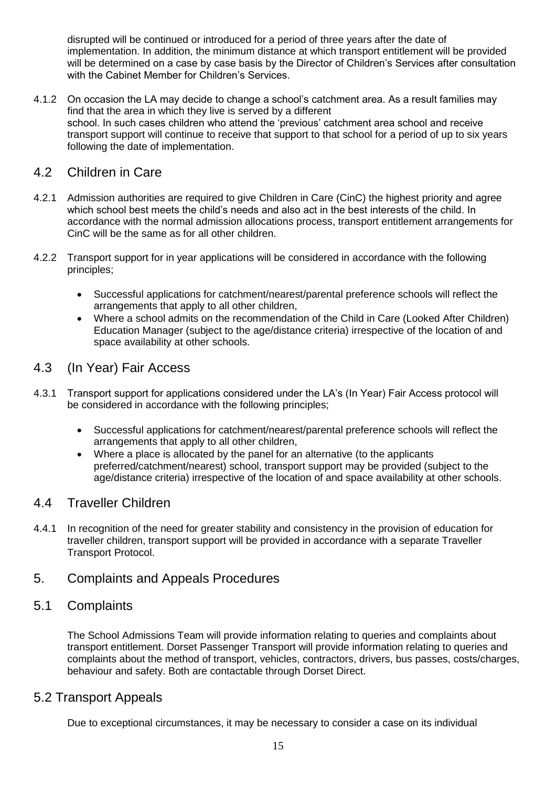disrupted will be continued or introduced for a period of three years after the date of implementation. In addition, the minimum distance at which transport entitlement will be provided will be determined on a case by case basis by the Director of Children's Services after consultation with the Cabinet Member for Children's Services.

4.1.2 On occasion the LA may decide to change a school's catchment area. As a result families may find that the area in which they live is served by a different school. In such cases children who attend the 'previous' catchment area school and receive transport support will continue to receive that support to that school for a period of up to six years following the date of implementation.

# 4.2 Children in Care

- 4.2.1 Admission authorities are required to give Children in Care (CinC) the highest priority and agree which school best meets the child's needs and also act in the best interests of the child. In accordance with the normal admission allocations process, transport entitlement arrangements for CinC will be the same as for all other children.
- 4.2.2 Transport support for in year applications will be considered in accordance with the following principles;
	- Successful applications for catchment/nearest/parental preference schools will reflect the arrangements that apply to all other children,
	- Where a school admits on the recommendation of the Child in Care (Looked After Children) Education Manager (subject to the age/distance criteria) irrespective of the location of and space availability at other schools.

# 4.3 (In Year) Fair Access

- 4.3.1 Transport support for applications considered under the LA's (In Year) Fair Access protocol will be considered in accordance with the following principles;
	- Successful applications for catchment/nearest/parental preference schools will reflect the arrangements that apply to all other children,
	- Where a place is allocated by the panel for an alternative (to the applicants preferred/catchment/nearest) school, transport support may be provided (subject to the age/distance criteria) irrespective of the location of and space availability at other schools.

# 4.4 Traveller Children

4.4.1 In recognition of the need for greater stability and consistency in the provision of education for traveller children, transport support will be provided in accordance with a separate Traveller Transport Protocol.

# 5. Complaints and Appeals Procedures

# 5.1 Complaints

The School Admissions Team will provide information relating to queries and complaints about transport entitlement. Dorset Passenger Transport will provide information relating to queries and complaints about the method of transport, vehicles, contractors, drivers, bus passes, costs/charges, behaviour and safety. Both are contactable through Dorset Direct.

# 5.2 Transport Appeals

Due to exceptional circumstances, it may be necessary to consider a case on its individual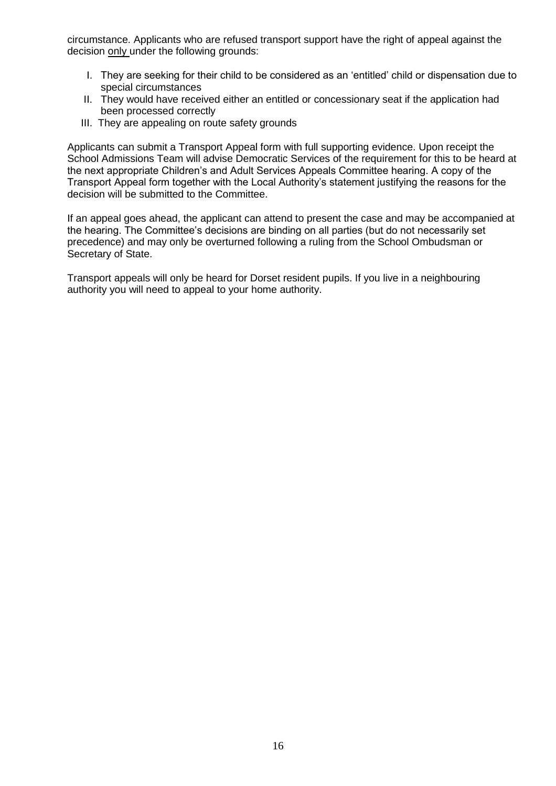circumstance. Applicants who are refused transport support have the right of appeal against the decision only under the following grounds:

- I. They are seeking for their child to be considered as an 'entitled' child or dispensation due to special circumstances
- II. They would have received either an entitled or concessionary seat if the application had been processed correctly
- III. They are appealing on route safety grounds

Applicants can submit a Transport Appeal form with full supporting evidence. Upon receipt the School Admissions Team will advise Democratic Services of the requirement for this to be heard at the next appropriate Children's and Adult Services Appeals Committee hearing. A copy of the Transport Appeal form together with the Local Authority's statement justifying the reasons for the decision will be submitted to the Committee.

If an appeal goes ahead, the applicant can attend to present the case and may be accompanied at the hearing. The Committee's decisions are binding on all parties (but do not necessarily set precedence) and may only be overturned following a ruling from the School Ombudsman or Secretary of State.

Transport appeals will only be heard for Dorset resident pupils. If you live in a neighbouring authority you will need to appeal to your home authority.